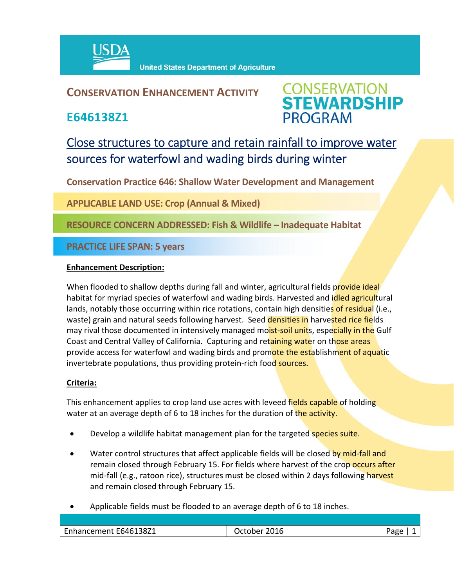

## **CONSERVATION ENHANCEMENT ACTIVITY**

**E646138Z1**



# Close structures to capture and retain rainfall to improve water sources for waterfowl and wading birds during winter

**Conservation Practice 646: Shallow Water Development and Management**

**APPLICABLE LAND USE: Crop (Annual & Mixed)**

**RESOURCE CONCERN ADDRESSED: Fish & Wildlife – Inadequate Habitat**

**PRACTICE LIFE SPAN: 5 years**

### **Enhancement Description:**

When flooded to shallow depths during fall and winter, agricultural fields provide ideal habitat for myriad species of waterfowl and wading birds. Harvested and idled agricultural lands, notably those occurring within rice rotations, contain high densities of residual (i.e., waste) grain and natural seeds following harvest. Seed densities in harvested rice fields may rival those documented in intensively managed moist-soil units, especially in the Gulf Coast and Central Valley of California. Capturing and retaining water on those areas provide access for waterfowl and wading birds and promote the establishment of aquatic invertebrate populations, thus providing protein-rich food sources.

### **Criteria:**

This enhancement applies to crop land use acres with leveed fields capable of holding water at an average depth of 6 to 18 inches for the duration of the activity.

- Develop a wildlife habitat management plan for the targeted species suite.
- Water control structures that affect applicable fields will be closed by mid-fall and remain closed through February 15. For fields where harvest of the crop occurs after mid-fall (e.g., ratoon rice), structures must be closed within 2 days following harvest and remain closed through February 15.
- Applicable fields must be flooded to an average depth of 6 to 18 inches.

| Enhancement E646138Z1 | . | ape |
|-----------------------|---|-----|
|                       |   |     |